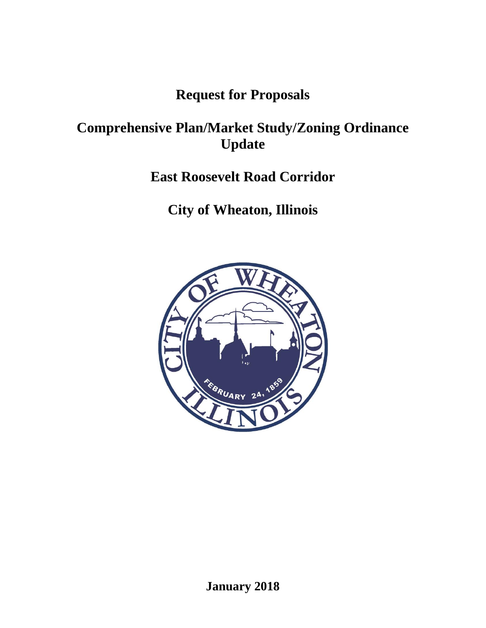## **Request for Proposals**

# **Comprehensive Plan/Market Study/Zoning Ordinance Update**

# **East Roosevelt Road Corridor**

# **City of Wheaton, Illinois**

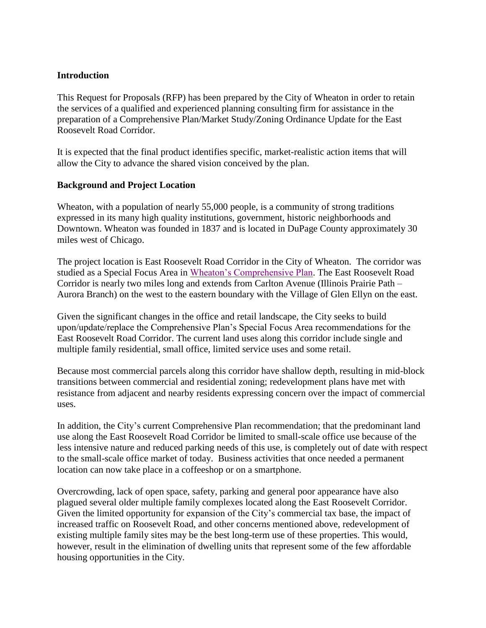### **Introduction**

This Request for Proposals (RFP) has been prepared by the City of Wheaton in order to retain the services of a qualified and experienced planning consulting firm for assistance in the preparation of a Comprehensive Plan/Market Study/Zoning Ordinance Update for the East Roosevelt Road Corridor.

It is expected that the final product identifies specific, market-realistic action items that will allow the City to advance the shared vision conceived by the plan.

### **Background and Project Location**

Wheaton, with a population of nearly 55,000 people, is a community of strong traditions expressed in its many high quality institutions, government, historic neighborhoods and Downtown. Wheaton was founded in 1837 and is located in DuPage County approximately 30 miles west of Chicago.

The project location is East Roosevelt Road Corridor in the City of Wheaton. The corridor was studied as a Special Focus Area in [Wheaton's Comprehensive Plan.](https://www.wheaton.il.us/349/Comprehensive-Land-Use-Plan) The East Roosevelt Road Corridor is nearly two miles long and extends from Carlton Avenue (Illinois Prairie Path – Aurora Branch) on the west to the eastern boundary with the Village of Glen Ellyn on the east.

Given the significant changes in the office and retail landscape, the City seeks to build upon/update/replace the Comprehensive Plan's Special Focus Area recommendations for the East Roosevelt Road Corridor. The current land uses along this corridor include single and multiple family residential, small office, limited service uses and some retail.

Because most commercial parcels along this corridor have shallow depth, resulting in mid-block transitions between commercial and residential zoning; redevelopment plans have met with resistance from adjacent and nearby residents expressing concern over the impact of commercial uses.

In addition, the City's current Comprehensive Plan recommendation; that the predominant land use along the East Roosevelt Road Corridor be limited to small-scale office use because of the less intensive nature and reduced parking needs of this use, is completely out of date with respect to the small-scale office market of today. Business activities that once needed a permanent location can now take place in a coffeeshop or on a smartphone.

Overcrowding, lack of open space, safety, parking and general poor appearance have also plagued several older multiple family complexes located along the East Roosevelt Corridor. Given the limited opportunity for expansion of the City's commercial tax base, the impact of increased traffic on Roosevelt Road, and other concerns mentioned above, redevelopment of existing multiple family sites may be the best long-term use of these properties. This would, however, result in the elimination of dwelling units that represent some of the few affordable housing opportunities in the City.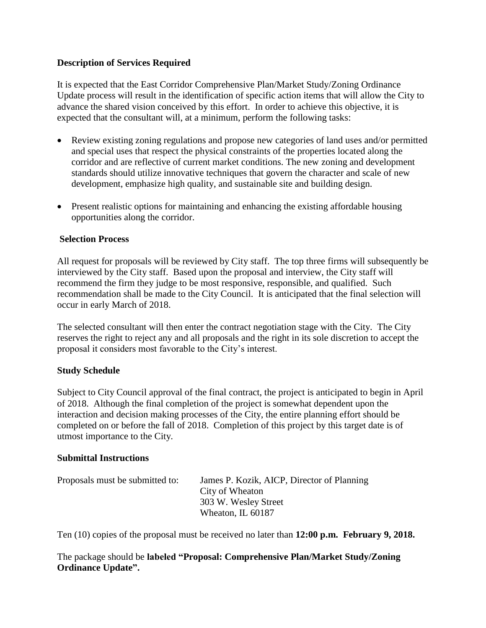## **Description of Services Required**

It is expected that the East Corridor Comprehensive Plan/Market Study/Zoning Ordinance Update process will result in the identification of specific action items that will allow the City to advance the shared vision conceived by this effort. In order to achieve this objective, it is expected that the consultant will, at a minimum, perform the following tasks:

- Review existing zoning regulations and propose new categories of land uses and/or permitted and special uses that respect the physical constraints of the properties located along the corridor and are reflective of current market conditions. The new zoning and development standards should utilize innovative techniques that govern the character and scale of new development, emphasize high quality, and sustainable site and building design.
- Present realistic options for maintaining and enhancing the existing affordable housing opportunities along the corridor.

### **Selection Process**

All request for proposals will be reviewed by City staff. The top three firms will subsequently be interviewed by the City staff. Based upon the proposal and interview, the City staff will recommend the firm they judge to be most responsive, responsible, and qualified. Such recommendation shall be made to the City Council. It is anticipated that the final selection will occur in early March of 2018.

The selected consultant will then enter the contract negotiation stage with the City. The City reserves the right to reject any and all proposals and the right in its sole discretion to accept the proposal it considers most favorable to the City's interest.

### **Study Schedule**

Subject to City Council approval of the final contract, the project is anticipated to begin in April of 2018. Although the final completion of the project is somewhat dependent upon the interaction and decision making processes of the City, the entire planning effort should be completed on or before the fall of 2018. Completion of this project by this target date is of utmost importance to the City.

### **Submittal Instructions**

| Proposals must be submitted to: | James P. Kozik, AICP, Director of Planning |
|---------------------------------|--------------------------------------------|
|                                 | City of Wheaton                            |
|                                 | 303 W. Wesley Street                       |
|                                 | Wheaton, IL 60187                          |

Ten (10) copies of the proposal must be received no later than **12:00 p.m. February 9, 2018.** 

The package should be **labeled "Proposal: Comprehensive Plan/Market Study/Zoning Ordinance Update".**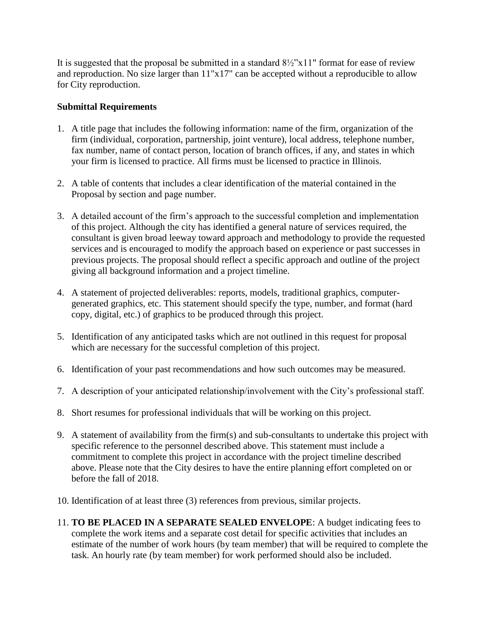It is suggested that the proposal be submitted in a standard  $8\frac{1}{2}$ "x11" format for ease of review and reproduction. No size larger than 11"x17" can be accepted without a reproducible to allow for City reproduction.

## **Submittal Requirements**

- 1. A title page that includes the following information: name of the firm, organization of the firm (individual, corporation, partnership, joint venture), local address, telephone number, fax number, name of contact person, location of branch offices, if any, and states in which your firm is licensed to practice. All firms must be licensed to practice in Illinois.
- 2. A table of contents that includes a clear identification of the material contained in the Proposal by section and page number.
- 3. A detailed account of the firm's approach to the successful completion and implementation of this project. Although the city has identified a general nature of services required, the consultant is given broad leeway toward approach and methodology to provide the requested services and is encouraged to modify the approach based on experience or past successes in previous projects. The proposal should reflect a specific approach and outline of the project giving all background information and a project timeline.
- 4. A statement of projected deliverables: reports, models, traditional graphics, computergenerated graphics, etc. This statement should specify the type, number, and format (hard copy, digital, etc.) of graphics to be produced through this project.
- 5. Identification of any anticipated tasks which are not outlined in this request for proposal which are necessary for the successful completion of this project.
- 6. Identification of your past recommendations and how such outcomes may be measured.
- 7. A description of your anticipated relationship/involvement with the City's professional staff.
- 8. Short resumes for professional individuals that will be working on this project.
- 9. A statement of availability from the firm(s) and sub-consultants to undertake this project with specific reference to the personnel described above. This statement must include a commitment to complete this project in accordance with the project timeline described above. Please note that the City desires to have the entire planning effort completed on or before the fall of 2018.
- 10. Identification of at least three (3) references from previous, similar projects.
- 11. **TO BE PLACED IN A SEPARATE SEALED ENVELOPE**: A budget indicating fees to complete the work items and a separate cost detail for specific activities that includes an estimate of the number of work hours (by team member) that will be required to complete the task. An hourly rate (by team member) for work performed should also be included.